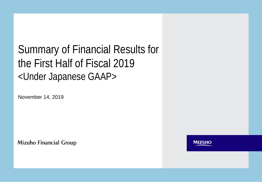# Summary of Financial Results for the First Half of Fiscal 2019 <Under Japanese GAAP>

November 14, 2019

**Mizuho Financial Group** 

**MIZUHO**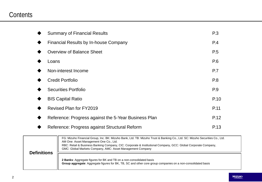### **Contents**

|                                                       | <b>Summary of Financial Results</b>                  |                                                                                                                                                                                                                                                                                                                                                       |     |  |  |  |
|-------------------------------------------------------|------------------------------------------------------|-------------------------------------------------------------------------------------------------------------------------------------------------------------------------------------------------------------------------------------------------------------------------------------------------------------------------------------------------------|-----|--|--|--|
|                                                       | <b>Financial Results by In-house Company</b>         |                                                                                                                                                                                                                                                                                                                                                       |     |  |  |  |
|                                                       |                                                      | <b>Overview of Balance Sheet</b>                                                                                                                                                                                                                                                                                                                      | P.5 |  |  |  |
|                                                       | Loans                                                |                                                                                                                                                                                                                                                                                                                                                       | P.6 |  |  |  |
|                                                       |                                                      | Non-interest Income                                                                                                                                                                                                                                                                                                                                   | P.7 |  |  |  |
|                                                       | <b>Credit Portfolio</b>                              |                                                                                                                                                                                                                                                                                                                                                       |     |  |  |  |
|                                                       | <b>Securities Portfolio</b>                          |                                                                                                                                                                                                                                                                                                                                                       |     |  |  |  |
|                                                       | <b>BIS Capital Ratio</b>                             |                                                                                                                                                                                                                                                                                                                                                       |     |  |  |  |
|                                                       | <b>Revised Plan for FY2019</b>                       |                                                                                                                                                                                                                                                                                                                                                       |     |  |  |  |
|                                                       | Reference: Progress against the 5-Year Business Plan |                                                                                                                                                                                                                                                                                                                                                       |     |  |  |  |
| Reference: Progress against Structural Reform<br>P.13 |                                                      |                                                                                                                                                                                                                                                                                                                                                       |     |  |  |  |
| <b>Definitions</b>                                    |                                                      | FG: Mizuho Financial Group, Inc. BK: Mizuho Bank, Ltd. TB: Mizuho Trust & Banking Co., Ltd. SC: Mizuho Securities Co., Ltd.<br>AM One: Asset Management One Co., Ltd.<br>RBC: Retail & Business Banking Company, CIC: Corporate & Institutional Company, GCC: Global Corporate Company,<br>GMC: Global Markets Company, AMC: Asset Management Company |     |  |  |  |
|                                                       |                                                      | 2 Banks: Aggregate figures for BK and TB on a non-consolidated basis                                                                                                                                                                                                                                                                                  |     |  |  |  |

**Group aggregate**: Aggregate figures for BK, TB, SC and other core group companies on a non-consolidated basis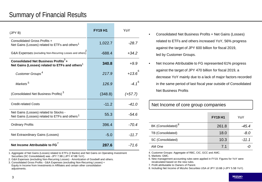### Summary of Financial Results

| (JPYB)                                                                                                         | <b>FY19 H1</b> | YoY         |
|----------------------------------------------------------------------------------------------------------------|----------------|-------------|
| Consolidated Gross Profits +<br>Net Gains (Losses) related to ETFs and others <sup>1</sup>                     | 1,022.7        | $-28.7$     |
| G&A Expenses (excluding Non-Recurring Losses and others)                                                       | $-688.4$       | $+34.2$     |
| Consolidated Net Business Profits <sup>3</sup> +<br>Net Gains (Losses) related to ETFs and others <sup>1</sup> | 340.8          | $+9.9$      |
| Customer Groups <sup>4</sup>                                                                                   | 217.9          | $+13.6^{6}$ |
| Markets <sup>5</sup>                                                                                           | 126.9          | $-4.1^{6}$  |
| (Consolidated Net Business Profits) <sup>3</sup>                                                               | (348.8)        | $(+57.7)$   |
| <b>Credit-related Costs</b>                                                                                    | $-11.2$        | $-41.0$     |
| Net Gains (Losses) related to Stocks -<br>Net Gains (Losses) related to ETFs and others <sup>1</sup>           | 55.3           | -54.6       |
| <b>Ordinary Profits</b>                                                                                        | 396.4          | $-70.4$     |
| Net Extraordinary Gains (Losses)                                                                               | $-5.0$         | $-11.7$     |
| Net Income Attributable to FG <sup>7</sup>                                                                     | 287.6          | -71.6       |

1. Aggregate of Net Gains (Losses) related to ETFs (2 Banks) and Net Gains on Operating Investment Securities (SC Consolidated) was -JPY 7.9B (-JPY 47.8B YoY).

2. G&A Expenses (excluding Non-Recurring Losses) - Amortization of Goodwill and others.

3. Consolidated Gross Profits - G&A Expenses (excluding Non-Recurring Losses) + Equity in Income from Investments in Affiliates and certain other consolidation adjustments.

- Consolidated Net Business Profits + Net Gains (Losses) related to ETFs and others increased YoY, 56% progress against the target of JPY 600 billion for fiscal 2019, led by Customer Groups.
- Net Income Attributable to FG represented 61% progress against the target of JPY 470 billion for fiscal 2019, a decrease YoY mainly due to a lack of major factors recorded in the same period of last fiscal year outside of Consolidated Net Business Profits

| Net Income of core group companies |       |         |  |  |  |
|------------------------------------|-------|---------|--|--|--|
| <b>FY19 H1</b><br>YoY              |       |         |  |  |  |
| BK (Consolidated) <sup>8</sup>     | 261.8 | $-45.4$ |  |  |  |
| TB (Consolidated)                  | 18.0  | $-8.0$  |  |  |  |
| SC (Consolidated)                  | 10.3  | $-11.1$ |  |  |  |
| 71<br>AM One                       |       |         |  |  |  |

4. Customer Groups: Aggregate of RBC, CIC, GCC and AMC.

5. Markets: GMC.

6. New management accounting rules were applied in FY19. Figures for YoY were recalculated based on the new rules.

7. Profit attributable to Owners of Parent.

8. Including Net Income of Mizuho Securities USA of JPY 10.6B (+JPY 5.5B YoY).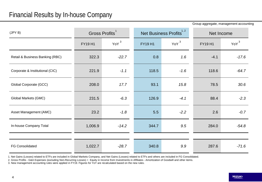Group aggregate, management accounting

| (JPY B)                         | <b>Gross Profits</b> |                    |                | 1, 2<br>Net Business Profits<br>Net Income |                |                  |
|---------------------------------|----------------------|--------------------|----------------|--------------------------------------------|----------------|------------------|
|                                 | <b>FY19 H1</b>       | $YoY$ <sup>3</sup> | <b>FY19 H1</b> | YoY <sup>3</sup>                           | <b>FY19 H1</b> | YoY <sup>3</sup> |
| Retail & Business Banking (RBC) | 322.3                | $-22.7$            | 0.8            | 1.6                                        | $-4.1$         | $-17.6$          |
| Corporate & Institutional (CIC) | 221.9                | $-1.1$             | 118.5          | $-1.6$                                     | 118.6          | $-64.7$          |
| Global Corporate (GCC)          | 208.0                | 17.7               | 93.1           | 15.8                                       | 78.5           | 30.6             |
| Global Markets (GMC)            | 231.5                | $-6.3$             | 126.9          | $-4.1$                                     | 88.4           | $-2.3$           |
| Asset Management (AMC)          | 23.2                 | $-1.8$             | 5.5            | $-2.2$                                     | 2.6            | $-0.7$           |
| In-house Company Total          | 1,006.9              | $-14.2$            | 344.7          | 9.5                                        | 284.0          | $-54.8$          |
|                                 |                      |                    |                |                                            |                |                  |
| <b>FG Consolidated</b>          | 1,022.7              | $-28.7$            | 340.8          | 9.9                                        | 287.6          | $-71.6$          |

1. Net Gains (Losses) related to ETFs are included in Global Markets Company, and Net Gains (Losses) related to ETFs and others are included in FG Consolidated.

2. Gross Profits - G&A Expenses (excluding Non-Recurring Losses) + Equity in Income from Investments in Affiliates - Amortization of Goodwill and other items.

3. New management accounting rules were applied in FY19. Figures for YoY are recalculated based on the new rules.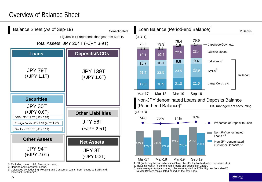## Overview of Balance Sheet



<sup>1.</sup> Excluding loans to FG. Banking account.

3. Calculated by deducting "Housing and Consumer Loans" from "Loans to SMEs and Individual Customers".

<sup>2.</sup> Housing and Consumer Loans.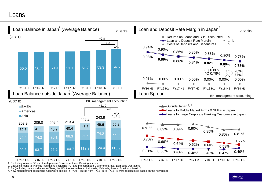### Loans



2. Excluding loans to financial institutions (including FG) and the Japanese Government, etc., Domestic Operations.

3. BK (including the subsidiaries in China, the US, the Netherlands, Indonesia, Malaysia, Russia, Brazil and Mexico).

4. New management accounting rules were applied in FY19 (Figures from FY16 H1 to FY18 H2 were recalculated based on the new rules).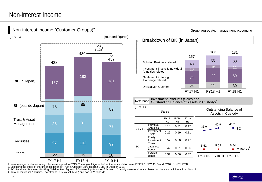### Non-interest Income



1. New management accounting rules were applied in FY19. The original figures before the recalculation were FY17 H1: JPY 431B and FY18 H1: JPY 475B.<br>2. Excluding the effect of the unconsolidation of Trust & Custody Service

3. SC: Retail and Business Banking Division. Past figures of Outstanding Balance of Assets in Custody were recalculated based on the new definitions from Mar-19.

4. Total of Individual Annuities, Investment Trusts (excl. MMF) and non-JPY deposits.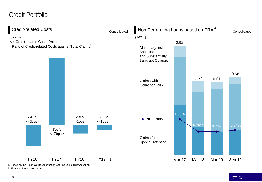# Credit Portfolio

| <b>Credit-related Costs</b>                                                                                   |                  |                    | Consolidated       | Non Performing Loans based on FRA <sup>2</sup>                                                                                 |        |        |        | Consolidated |
|---------------------------------------------------------------------------------------------------------------|------------------|--------------------|--------------------|--------------------------------------------------------------------------------------------------------------------------------|--------|--------|--------|--------------|
| (JPY B)<br>< > Credit-related Costs Ratio:<br>Ratio of Credit-related Costs against Total Claims <sup>1</sup> |                  |                    |                    | (JPYT)<br>Claims against<br>Bankrupt<br>and Substantially<br><b>Bankrupt Obligors</b><br>Claims with<br><b>Collection Risk</b> | 0.92   | 0.62   | 0.61   | 0.66         |
| $-47.5$<br><-5bps>                                                                                            | 156.3<br><17bps> | $-19.5$<br><-2bps> | $-11.2$<br><-1bps> | --NPL Ratio<br>Claims for<br><b>Special Attention</b>                                                                          | 1.06%  | 0.70%  | 0.70%  | 0.74%        |
| <b>FY16</b>                                                                                                   | <b>FY17</b>      | <b>FY18</b>        | <b>FY19 H1</b>     |                                                                                                                                | Mar-17 | Mar-18 | Mar-19 | Sep-19       |

1. Based on the Financial Reconstruction Act (Including Trust Account). 2. Financial Reconstruction Act.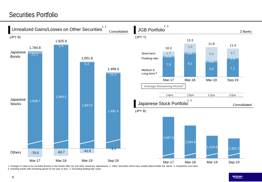# Securities Portfolio



1. Changes in value to be recorded directly to Net Assets after tax and other necessary adjustments. 2. Other Securities which have readily determinable fair values. 3. Acquisition cost basis. 4. Including bonds with remaining period of one year or less. 5. Excluding floating-rate notes.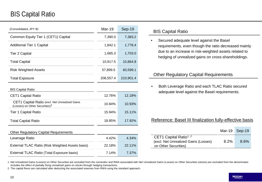# BIS Capital Ratio

| (Consolidated, JPY B)               | <b>Mar-19</b> | Sep-19    |
|-------------------------------------|---------------|-----------|
| Common Equity Tier 1 (CET1) Capital | 7,390.0       | 7,383.2   |
| <b>Additional Tier 1 Capital</b>    | 1,842.1       | 1,778.4   |
| <b>Tier 2 Capital</b>               | 1,685.3       | 1,703.0   |
| <b>Total Capital</b>                | 10,917.5      | 10,864.8  |
| <b>Risk Weighted Assets</b>         | 57,899.5      | 60,599.1  |
| <b>Total Exposure</b>               | 208,557.4     | 210,901.4 |
|                                     |               |           |

#### BIS Capital Ratio

| <b>CET1 Capital Ratio</b>                                                                    | 12.76%    | 12.18%    |
|----------------------------------------------------------------------------------------------|-----------|-----------|
| CET1 Capital Ratio (excl. Net Unrealized Gains<br>(Losses) on Other Securities) <sup>1</sup> | $10.84\%$ | $10.93\%$ |
| <b>Tier 1 Capital Ratio</b>                                                                  | 15.94%    | 15.11%    |
| <b>Total Capital Ratio</b>                                                                   | 18.85%    | 17.92%    |

#### Other Regulatory Capital Requirements

| Leverage Ratio                                   | 4.42%  | 4.34%  |
|--------------------------------------------------|--------|--------|
| External TLAC Ratio (Risk Weighted Assets basis) | 22.18% | 22.11% |
| External TLAC Ratio (Total Exposure basis)       | 7.14%  | 7.37%  |

### BIS Capital Ratio

• Secured adequate level against the Basel requirements, even though the ratio decreased mainly due to an increase in risk-weighted assets related to hedging of unrealized gains on cross-shareholdings.

### Other Regulatory Capital Requirements

• Both Leverage Ratio and each TLAC Ratio secured adequate level against the Basel requirements.

### Reference: Basel III finalization fully-effective basis

|                                                                                                    | Mar-19 Sep-19 |      |
|----------------------------------------------------------------------------------------------------|---------------|------|
| CET1 Capital Ratio <sup>1, 2</sup><br>(excl. Net Unrealized Gains (Losses)<br>on Other Securities) | 8.2%          | 8.6% |

1. Net Unrealized Gains (Losses) on Other Securities are excluded from the numerator and RWA associated with Net Unrealized Gains (Losses) on Other Securities (stocks) are excluded from the denominator. Includes the effect of partially fixing unrealized gains on stocks through hedging transactions.

2. The capital floors are calculated after deducting the associated reserves from RWA using the standard approach.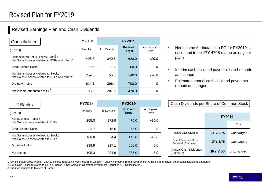### Revised Earnings Plan and Cash Dividends

| Consolidated                                                                                         | FY2018  |                   | <b>FY2019</b>                   |                        |
|------------------------------------------------------------------------------------------------------|---------|-------------------|---------------------------------|------------------------|
| (JPYB)                                                                                               | Results | <b>H1 Results</b> | <b>Revised</b><br><b>Target</b> | Vs. Original<br>Target |
| Consolidated Net Business Profits +<br>Net Gains (Losses) related to ETFs and others <sup>2</sup>    | 408.3   | 340.8             | 620.0                           | $+20.0$                |
| <b>Credit-related Costs</b>                                                                          | $-19.5$ | $-11.2$           | $-60.0$                         | Ω                      |
| Net Gains (Losses) related to Stocks -<br>Net Gains (Losses) related to ETFs and others <sup>2</sup> | 259.8   | 55.3              | 140.0                           | $-20.0$                |
| <b>Ordinary Profits</b>                                                                              | 614.1   | 396.4             | 700.0                           | 0                      |
| Net Income Attributable to FG                                                                        | 96.5    | 287.6             | 470.0                           | Ω                      |

- Net Income Attributable to  $FG<sup>3</sup>$ for FY2019 is estimated to be JPY 470B (same as original plan)
- Interim cash dividend payment is to be made as planned
- Estimated annual cash dividend payments remain unchanged

| 2 Banks                                                                      |       | FY2018         |                   | <b>FY2019</b>                   |                        |
|------------------------------------------------------------------------------|-------|----------------|-------------------|---------------------------------|------------------------|
| (JPY B)                                                                      |       | <b>Results</b> | <b>H1 Results</b> | <b>Revised</b><br><b>Target</b> | Vs. Original<br>Target |
| Net Business Profits +<br>Net Gains (Losses) related to ETFs                 | 255.0 | 272.9          | 475.0             | $+10.0$                         |                        |
| <b>Credit-related Costs</b>                                                  |       | $-22.7$        | $-15.0$           | $-55.0$                         | 0                      |
| Net Gains (Losses) related to Stocks -<br>Net Gains (Losses) related to ETFs | 168.8 | 54.4           | 140.0             | $-15.0$                         |                        |
| <b>Ordinary Profits</b>                                                      |       | 339.9          | 317.1             | 560.0                           | $-5.0$                 |
| Net Income                                                                   |       | -105.3         | 234.6             | 385.0                           | -5.0                   |

|  |  | Cash Dividends per Share of Common Stock |
|--|--|------------------------------------------|
|--|--|------------------------------------------|

|                                             | <b>FY2019</b>   |           |
|---------------------------------------------|-----------------|-----------|
|                                             |                 | YoY       |
| Interim Cash Dividend                       | <b>JPY 3.75</b> | unchanged |
| Fiscal Year-end Cash<br>Dividend (Estimate) | <b>JPY 3.75</b> | unchanged |
| Annual Cash Dividends<br>(Estimate)         | <b>JPY 7.50</b> | unchanged |

1. Consolidated Gross Profits - G&A Expenses (excluding Non-Recurring Losses) + Equity in Income from Investments in Affiliates and certain other consolidation adjustments.

2. Net Gains (Losses) related to ETFs (2 Banks) + Net Gains on Operating Investment Securities (SC Consolidated).

3. Profit Attributable to Owners of Parent.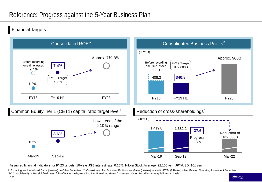## Reference: Progress against the 5-Year Business Plan

Financial Targets



[Assumed financial indicators for FY23 targets] 10-year JGB interest rate: 0.15%, Nikkei Stock Average: 22,100 yen, JPY/USD: 101 yen

1. Excluding Net Unrealized Gains (Losses) on Other Securities. 2. Consolidated Net Business Profits + Net Gains (Losses) related to ETFs (2 Banks) + Net Gain on Operating Investment Securities (SC Consolidated). 3. Basel lll finalization fully-effective basis, excluding Net Unrealized Gains (Losses) on Other Securities. 4. Acquisition cost basis.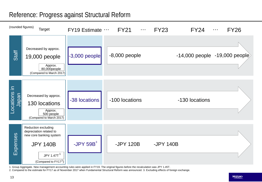### Reference: Progress against Structural Reform



1. Group Aggregate. New management accounting rules were applied in FY19. The original figures before the recalculation was JPY 1.45T.

2. Compared to the estimate for FY17 as of November 2017 when Fundamental Structural Reform was announced. 3. Excluding effects of foreign exchange.